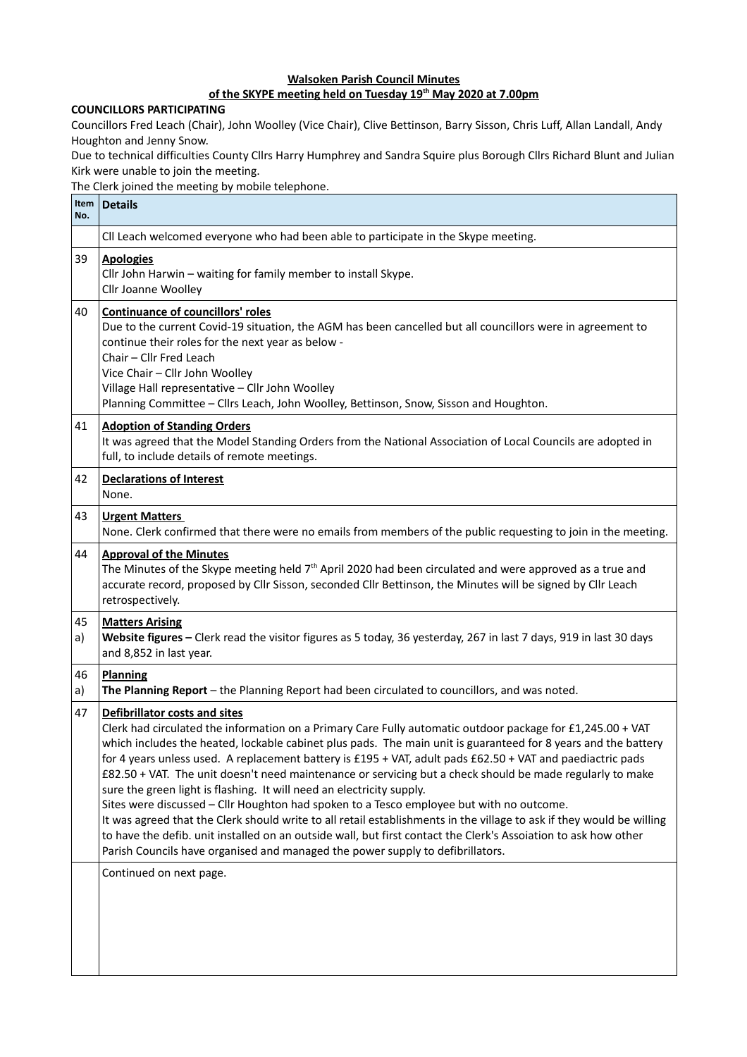## **Walsoken Parish Council Minutes**

## **of the SKYPE meeting held on Tuesday 19th May 2020 at 7.00pm**

## **COUNCILLORS PARTICIPATING**

Councillors Fred Leach (Chair), John Woolley (Vice Chair), Clive Bettinson, Barry Sisson, Chris Luff, Allan Landall, Andy Houghton and Jenny Snow.

Due to technical difficulties County Cllrs Harry Humphrey and Sandra Squire plus Borough Cllrs Richard Blunt and Julian Kirk were unable to join the meeting.

The Clerk joined the meeting by mobile telephone.

| Item<br>No. | <b>Details</b>                                                                                                                                                                                                                                                                                                                                                                                                                                                                                                                                                                                                                                                                                                                                                                                                                                                                                                                                                                                                         |
|-------------|------------------------------------------------------------------------------------------------------------------------------------------------------------------------------------------------------------------------------------------------------------------------------------------------------------------------------------------------------------------------------------------------------------------------------------------------------------------------------------------------------------------------------------------------------------------------------------------------------------------------------------------------------------------------------------------------------------------------------------------------------------------------------------------------------------------------------------------------------------------------------------------------------------------------------------------------------------------------------------------------------------------------|
|             | CII Leach welcomed everyone who had been able to participate in the Skype meeting.                                                                                                                                                                                                                                                                                                                                                                                                                                                                                                                                                                                                                                                                                                                                                                                                                                                                                                                                     |
| 39          | <b>Apologies</b><br>Cllr John Harwin - waiting for family member to install Skype.<br>Cllr Joanne Woolley                                                                                                                                                                                                                                                                                                                                                                                                                                                                                                                                                                                                                                                                                                                                                                                                                                                                                                              |
| 40          | <b>Continuance of councillors' roles</b><br>Due to the current Covid-19 situation, the AGM has been cancelled but all councillors were in agreement to<br>continue their roles for the next year as below -<br>Chair - Cllr Fred Leach<br>Vice Chair - Cllr John Woolley<br>Village Hall representative - Cllr John Woolley<br>Planning Committee - Cllrs Leach, John Woolley, Bettinson, Snow, Sisson and Houghton.                                                                                                                                                                                                                                                                                                                                                                                                                                                                                                                                                                                                   |
| 41          | <b>Adoption of Standing Orders</b><br>It was agreed that the Model Standing Orders from the National Association of Local Councils are adopted in<br>full, to include details of remote meetings.                                                                                                                                                                                                                                                                                                                                                                                                                                                                                                                                                                                                                                                                                                                                                                                                                      |
| 42          | <b>Declarations of Interest</b><br>None.                                                                                                                                                                                                                                                                                                                                                                                                                                                                                                                                                                                                                                                                                                                                                                                                                                                                                                                                                                               |
| 43          | <b>Urgent Matters</b><br>None. Clerk confirmed that there were no emails from members of the public requesting to join in the meeting.                                                                                                                                                                                                                                                                                                                                                                                                                                                                                                                                                                                                                                                                                                                                                                                                                                                                                 |
| 44          | <b>Approval of the Minutes</b><br>The Minutes of the Skype meeting held 7 <sup>th</sup> April 2020 had been circulated and were approved as a true and<br>accurate record, proposed by Cllr Sisson, seconded Cllr Bettinson, the Minutes will be signed by Cllr Leach<br>retrospectively.                                                                                                                                                                                                                                                                                                                                                                                                                                                                                                                                                                                                                                                                                                                              |
| 45<br>a)    | <b>Matters Arising</b><br>Website figures - Clerk read the visitor figures as 5 today, 36 yesterday, 267 in last 7 days, 919 in last 30 days<br>and 8,852 in last year.                                                                                                                                                                                                                                                                                                                                                                                                                                                                                                                                                                                                                                                                                                                                                                                                                                                |
| 46<br>a)    | <b>Planning</b><br>The Planning Report - the Planning Report had been circulated to councillors, and was noted.                                                                                                                                                                                                                                                                                                                                                                                                                                                                                                                                                                                                                                                                                                                                                                                                                                                                                                        |
| 47          | Defibrillator costs and sites<br>Clerk had circulated the information on a Primary Care Fully automatic outdoor package for £1,245.00 + VAT<br>which includes the heated, lockable cabinet plus pads. The main unit is guaranteed for 8 years and the battery<br>for 4 years unless used. A replacement battery is £195 + VAT, adult pads £62.50 + VAT and paediactric pads<br>£82.50 + VAT. The unit doesn't need maintenance or servicing but a check should be made regularly to make<br>sure the green light is flashing. It will need an electricity supply.<br>Sites were discussed - Cllr Houghton had spoken to a Tesco employee but with no outcome.<br>It was agreed that the Clerk should write to all retail establishments in the village to ask if they would be willing<br>to have the defib. unit installed on an outside wall, but first contact the Clerk's Assoiation to ask how other<br>Parish Councils have organised and managed the power supply to defibrillators.<br>Continued on next page. |
|             |                                                                                                                                                                                                                                                                                                                                                                                                                                                                                                                                                                                                                                                                                                                                                                                                                                                                                                                                                                                                                        |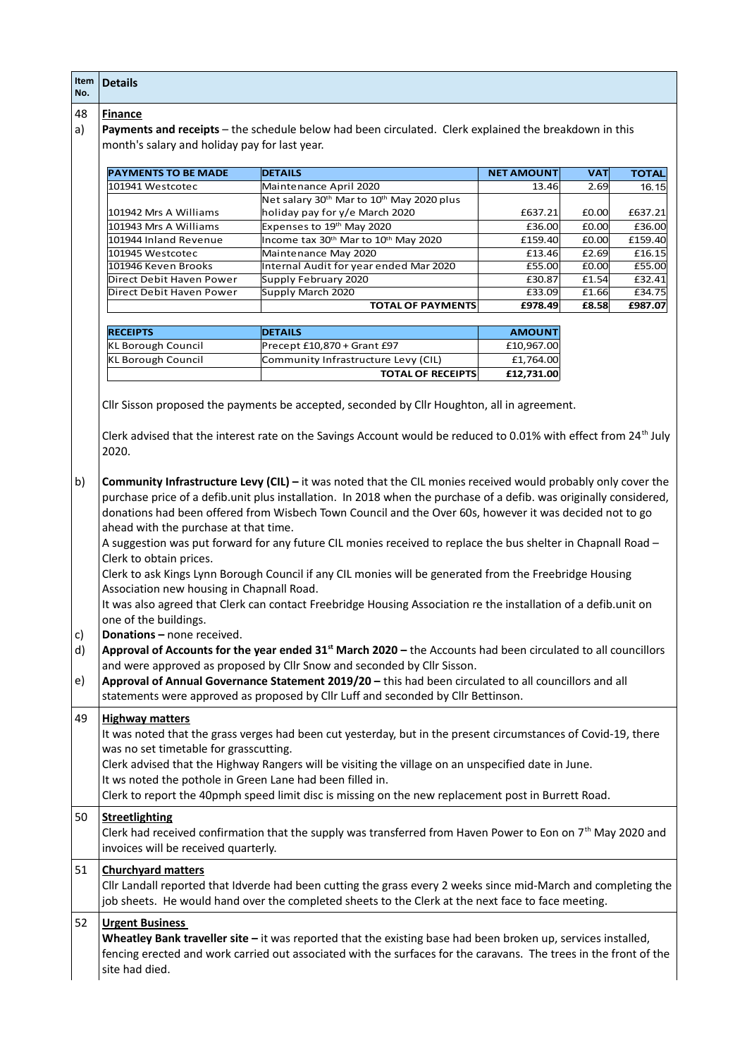| Item<br>No.          | <b>Details</b>                                                                                                                                                                                                                                                                                                                                                                                                                                                                                                                                                                                                                                                                                                                                                                                                                                                                                                                                                                                                                                                                                                                                                                                  |                                                                                                                                                                                                                                    |                   |            |              |  |
|----------------------|-------------------------------------------------------------------------------------------------------------------------------------------------------------------------------------------------------------------------------------------------------------------------------------------------------------------------------------------------------------------------------------------------------------------------------------------------------------------------------------------------------------------------------------------------------------------------------------------------------------------------------------------------------------------------------------------------------------------------------------------------------------------------------------------------------------------------------------------------------------------------------------------------------------------------------------------------------------------------------------------------------------------------------------------------------------------------------------------------------------------------------------------------------------------------------------------------|------------------------------------------------------------------------------------------------------------------------------------------------------------------------------------------------------------------------------------|-------------------|------------|--------------|--|
| 48                   | <b>Finance</b>                                                                                                                                                                                                                                                                                                                                                                                                                                                                                                                                                                                                                                                                                                                                                                                                                                                                                                                                                                                                                                                                                                                                                                                  |                                                                                                                                                                                                                                    |                   |            |              |  |
| a)                   | Payments and receipts - the schedule below had been circulated. Clerk explained the breakdown in this                                                                                                                                                                                                                                                                                                                                                                                                                                                                                                                                                                                                                                                                                                                                                                                                                                                                                                                                                                                                                                                                                           |                                                                                                                                                                                                                                    |                   |            |              |  |
|                      | month's salary and holiday pay for last year.                                                                                                                                                                                                                                                                                                                                                                                                                                                                                                                                                                                                                                                                                                                                                                                                                                                                                                                                                                                                                                                                                                                                                   |                                                                                                                                                                                                                                    |                   |            |              |  |
|                      |                                                                                                                                                                                                                                                                                                                                                                                                                                                                                                                                                                                                                                                                                                                                                                                                                                                                                                                                                                                                                                                                                                                                                                                                 |                                                                                                                                                                                                                                    |                   |            |              |  |
|                      | <b>PAYMENTS TO BE MADE</b>                                                                                                                                                                                                                                                                                                                                                                                                                                                                                                                                                                                                                                                                                                                                                                                                                                                                                                                                                                                                                                                                                                                                                                      | <b>DETAILS</b>                                                                                                                                                                                                                     | <b>NET AMOUNT</b> | <b>VAT</b> | <b>TOTAL</b> |  |
|                      | 101941 Westcotec                                                                                                                                                                                                                                                                                                                                                                                                                                                                                                                                                                                                                                                                                                                                                                                                                                                                                                                                                                                                                                                                                                                                                                                | Maintenance April 2020                                                                                                                                                                                                             | 13.46             | 2.69       | 16.15        |  |
|                      |                                                                                                                                                                                                                                                                                                                                                                                                                                                                                                                                                                                                                                                                                                                                                                                                                                                                                                                                                                                                                                                                                                                                                                                                 | Net salary 30 <sup>th</sup> Mar to 10 <sup>th</sup> May 2020 plus                                                                                                                                                                  |                   |            |              |  |
|                      | 101942 Mrs A Williams                                                                                                                                                                                                                                                                                                                                                                                                                                                                                                                                                                                                                                                                                                                                                                                                                                                                                                                                                                                                                                                                                                                                                                           | holiday pay for y/e March 2020                                                                                                                                                                                                     | £637.21           | £0.00      | £637.21      |  |
|                      | 101943 Mrs A Williams                                                                                                                                                                                                                                                                                                                                                                                                                                                                                                                                                                                                                                                                                                                                                                                                                                                                                                                                                                                                                                                                                                                                                                           | Expenses to 19th May 2020                                                                                                                                                                                                          | £36.00            | £0.00      | £36.00       |  |
|                      | 101944 Inland Revenue                                                                                                                                                                                                                                                                                                                                                                                                                                                                                                                                                                                                                                                                                                                                                                                                                                                                                                                                                                                                                                                                                                                                                                           | Income tax 30 <sup>th</sup> Mar to 10 <sup>th</sup> May 2020                                                                                                                                                                       | £159.40           | £0.00      | £159.40      |  |
|                      | 101945 Westcotec                                                                                                                                                                                                                                                                                                                                                                                                                                                                                                                                                                                                                                                                                                                                                                                                                                                                                                                                                                                                                                                                                                                                                                                | Maintenance May 2020                                                                                                                                                                                                               | £13.46            | £2.69      | £16.15       |  |
|                      | 101946 Keven Brooks                                                                                                                                                                                                                                                                                                                                                                                                                                                                                                                                                                                                                                                                                                                                                                                                                                                                                                                                                                                                                                                                                                                                                                             | Internal Audit for year ended Mar 2020                                                                                                                                                                                             | £55.00            | E0.00      | £55.00       |  |
|                      | Direct Debit Haven Power                                                                                                                                                                                                                                                                                                                                                                                                                                                                                                                                                                                                                                                                                                                                                                                                                                                                                                                                                                                                                                                                                                                                                                        | Supply February 2020                                                                                                                                                                                                               | £30.87            | £1.54      | £32.41       |  |
|                      | Direct Debit Haven Power                                                                                                                                                                                                                                                                                                                                                                                                                                                                                                                                                                                                                                                                                                                                                                                                                                                                                                                                                                                                                                                                                                                                                                        | Supply March 2020                                                                                                                                                                                                                  | £33.09            | £1.66      | £34.75       |  |
|                      |                                                                                                                                                                                                                                                                                                                                                                                                                                                                                                                                                                                                                                                                                                                                                                                                                                                                                                                                                                                                                                                                                                                                                                                                 | <b>TOTAL OF PAYMENTS</b>                                                                                                                                                                                                           | £978.49           | £8.58      | £987.07      |  |
|                      |                                                                                                                                                                                                                                                                                                                                                                                                                                                                                                                                                                                                                                                                                                                                                                                                                                                                                                                                                                                                                                                                                                                                                                                                 |                                                                                                                                                                                                                                    |                   |            |              |  |
|                      | <b>RECEIPTS</b>                                                                                                                                                                                                                                                                                                                                                                                                                                                                                                                                                                                                                                                                                                                                                                                                                                                                                                                                                                                                                                                                                                                                                                                 | <b>DETAILS</b>                                                                                                                                                                                                                     | <b>AMOUNT</b>     |            |              |  |
|                      | KL Borough Council                                                                                                                                                                                                                                                                                                                                                                                                                                                                                                                                                                                                                                                                                                                                                                                                                                                                                                                                                                                                                                                                                                                                                                              | Precept £10,870 + Grant £97                                                                                                                                                                                                        | £10,967.00        |            |              |  |
|                      | <b>KL Borough Council</b>                                                                                                                                                                                                                                                                                                                                                                                                                                                                                                                                                                                                                                                                                                                                                                                                                                                                                                                                                                                                                                                                                                                                                                       | Community Infrastructure Levy (CIL)                                                                                                                                                                                                | £1,764.00         |            |              |  |
|                      |                                                                                                                                                                                                                                                                                                                                                                                                                                                                                                                                                                                                                                                                                                                                                                                                                                                                                                                                                                                                                                                                                                                                                                                                 | <b>TOTAL OF RECEIPTS</b>                                                                                                                                                                                                           | £12,731.00        |            |              |  |
|                      |                                                                                                                                                                                                                                                                                                                                                                                                                                                                                                                                                                                                                                                                                                                                                                                                                                                                                                                                                                                                                                                                                                                                                                                                 |                                                                                                                                                                                                                                    |                   |            |              |  |
| b)<br>C)<br>d)<br>e) | 2020.<br>Community Infrastructure Levy (CIL) - it was noted that the CIL monies received would probably only cover the<br>purchase price of a defib.unit plus installation. In 2018 when the purchase of a defib. was originally considered,<br>donations had been offered from Wisbech Town Council and the Over 60s, however it was decided not to go<br>ahead with the purchase at that time.<br>A suggestion was put forward for any future CIL monies received to replace the bus shelter in Chapnall Road -<br>Clerk to obtain prices.<br>Clerk to ask Kings Lynn Borough Council if any CIL monies will be generated from the Freebridge Housing<br>Association new housing in Chapnall Road.<br>It was also agreed that Clerk can contact Freebridge Housing Association re the installation of a defib.unit on<br>one of the buildings.<br>Donations - none received.<br>Approval of Accounts for the year ended 31 <sup>st</sup> March 2020 - the Accounts had been circulated to all councillors<br>and were approved as proposed by Cllr Snow and seconded by Cllr Sisson.<br>Approval of Annual Governance Statement 2019/20 - this had been circulated to all councillors and all |                                                                                                                                                                                                                                    |                   |            |              |  |
| 49                   | statements were approved as proposed by Cllr Luff and seconded by Cllr Bettinson.<br><b>Highway matters</b><br>It was noted that the grass verges had been cut yesterday, but in the present circumstances of Covid-19, there<br>was no set timetable for grasscutting.<br>Clerk advised that the Highway Rangers will be visiting the village on an unspecified date in June.<br>It ws noted the pothole in Green Lane had been filled in.<br>Clerk to report the 40pmph speed limit disc is missing on the new replacement post in Burrett Road.                                                                                                                                                                                                                                                                                                                                                                                                                                                                                                                                                                                                                                              |                                                                                                                                                                                                                                    |                   |            |              |  |
| 50                   | <b>Streetlighting</b><br>Clerk had received confirmation that the supply was transferred from Haven Power to Eon on $7th$ May 2020 and<br>invoices will be received quarterly.                                                                                                                                                                                                                                                                                                                                                                                                                                                                                                                                                                                                                                                                                                                                                                                                                                                                                                                                                                                                                  |                                                                                                                                                                                                                                    |                   |            |              |  |
| 51                   | <b>Churchyard matters</b><br>Cllr Landall reported that Idverde had been cutting the grass every 2 weeks since mid-March and completing the<br>job sheets. He would hand over the completed sheets to the Clerk at the next face to face meeting.                                                                                                                                                                                                                                                                                                                                                                                                                                                                                                                                                                                                                                                                                                                                                                                                                                                                                                                                               |                                                                                                                                                                                                                                    |                   |            |              |  |
| 52                   | <b>Urgent Business</b><br>site had died.                                                                                                                                                                                                                                                                                                                                                                                                                                                                                                                                                                                                                                                                                                                                                                                                                                                                                                                                                                                                                                                                                                                                                        | Wheatley Bank traveller site - it was reported that the existing base had been broken up, services installed,<br>fencing erected and work carried out associated with the surfaces for the caravans. The trees in the front of the |                   |            |              |  |